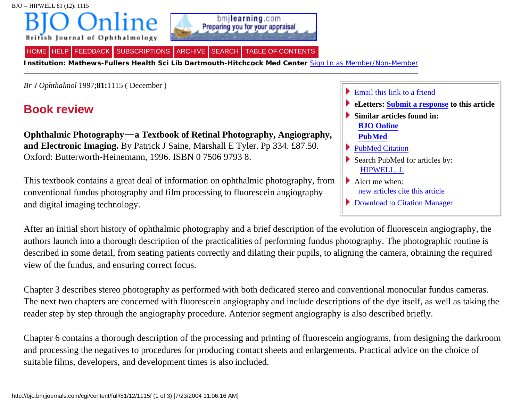



[HELP](http://bjo.bmjjournals.com/help/) [FEEDBACK](http://bjo.bmjjournals.com/cgi/feedback) [SUBSCRIPTIONS](http://bjo.bmjjournals.com/subscriptions/) [ARCHIVE](http://bjo.bmjjournals.com/contents-by-date.0.shtml) [SEARCH](http://bjo.bmjjournals.com/search.dtl) [TABLE OF CONTENTS](http://bjo.bmjjournals.com/content/vol81/issue12/index.shtml)

**Institution: Mathews-Fullers Health Sci Lib Dartmouth-Hitchcock Med Center** [Sign In as Member/Non-Member](http://bjo.bmjjournals.com/cgi/login?uri=%2Fcgi%2Fcontent%2Ffull%2F81%2F12%2F1115f)

*Br J Ophthalmol* 1997;**81:**1115 ( December )

## **Book review**

**Ophthalmic Photography a Textbook of Retinal Photography, Angiography, and Electronic Imaging.** By Patrick J Saine, Marshall E Tyler. Pp 334. £87.50. Oxford: Butterworth-Heinemann, 1996. ISBN 0 7506 9793 8.

This textbook contains a great deal of information on ophthalmic photography, from conventional fundus photography and film processing to fluorescein angiography and digital imaging technology.

[Email this link to a friend](http://bjo.bmjjournals.com/cgi/mailafriend?url=http%3A%2F%2Fbjo.bmjjournals.com%2Fcgi%2Fcontent%2Ffull%2F81%2F12%2F1115f&title=Ophthalmic+Photography---a+Textbook+of+Retinal+Photography%2C+Angiography%2C+and+Electronic+Imaging.) **eLetters: [Submit a response](http://bjo.bmjjournals.com/cgi/eletter-submit/81/12/1115f) to this article**

- **Similar articles found in: [BJO Online](http://bjo.bmjjournals.com/cgi/search?qbe=bjophthalmol;81/12/1115f&journalcode=bjophthalmol&minscore=5000) [PubMed](http://bjo.bmjjournals.com/cgi/external_ref?access_num=9497478&link_type=MED_NBRS)**
- [PubMed Citation](http://bjo.bmjjournals.com/cgi/external_ref?access_num=9497478&link_type=PUBMED)
- Search PubMed for articles by: [HIPWELL, J.](http://bjo.bmjjournals.com/cgi/external_ref?access_num=HIPWELL+J&link_type=AUTHORSEARCH)
- Alert me when: [new articles cite this article](http://bjo.bmjjournals.com/cgi/alerts/ctalert?alertType=citedby&addAlert=cited_by&saveAlert=no&cited_by_criteria_resid=bjophthalmol;81/12/1115f&return_type=article&return_url=http%3A%2F%2Fbjo.bmjjournals.com%2Fcgi%2Fcontent%2Ffull%2F81%2F12%2F1115f)
- [Download to Citation Manager](http://bjo.bmjjournals.com/cgi/citmgr?gca=bjophthalmol;81/12/1115f)

After an initial short history of ophthalmic photography and a brief description of the evolution of fluorescein angiography, the authors launch into a thorough description of the practicalities of performing fundus photography. The photographic routine is described in some detail, from seating patients correctly and dilating their pupils, to aligning the camera, obtaining the required view of the fundus, and ensuring correct focus.

Chapter 3 describes stereo photography as performed with both dedicated stereo and conventional monocular fundus cameras. The next two chapters are concerned with fluorescein angiography and include descriptions of the dye itself, as well as taking the reader step by step through the angiography procedure. Anterior segment angiography is also described briefly.

Chapter 6 contains a thorough description of the processing and printing of fluorescein angiograms, from designing the darkroom and processing the negatives to procedures for producing contact sheets and enlargements. Practical advice on the choice of suitable films, developers, and development times is also included.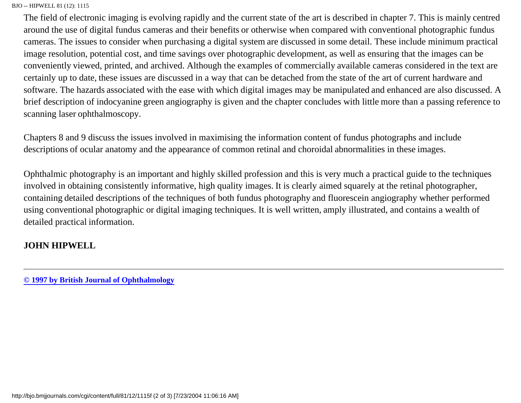## BJO -- HIPWELL 81 (12): 1115

The field of electronic imaging is evolving rapidly and the current state of the art is described in chapter 7. This is mainly centred around the use of digital fundus cameras and their benefits or otherwise when compared with conventional photographic fundus cameras. The issues to consider when purchasing a digital system are discussed in some detail. These include minimum practical image resolution, potential cost, and time savings over photographic development, as well as ensuring that the images can be conveniently viewed, printed, and archived. Although the examples of commercially available cameras considered in the text are certainly up to date, these issues are discussed in a way that can be detached from the state of the art of current hardware and software. The hazards associated with the ease with which digital images may be manipulated and enhanced are also discussed. A brief description of indocyanine green angiography is given and the chapter concludes with little more than a passing reference to scanning laser ophthalmoscopy.

Chapters 8 and 9 discuss the issues involved in maximising the information content of fundus photographs and include descriptions of ocular anatomy and the appearance of common retinal and choroidal abnormalities in these images.

Ophthalmic photography is an important and highly skilled profession and this is very much a practical guide to the techniques involved in obtaining consistently informative, high quality images. It is clearly aimed squarely at the retinal photographer, containing detailed descriptions of the techniques of both fundus photography and fluorescein angiography whether performed using conventional photographic or digital imaging techniques. It is well written, amply illustrated, and contains a wealth of detailed practical information.

## **JOHN HIPWELL**

**[© 1997 by British Journal of Ophthalmology](http://bjo.bmjjournals.com/misc/terms.shtml)**